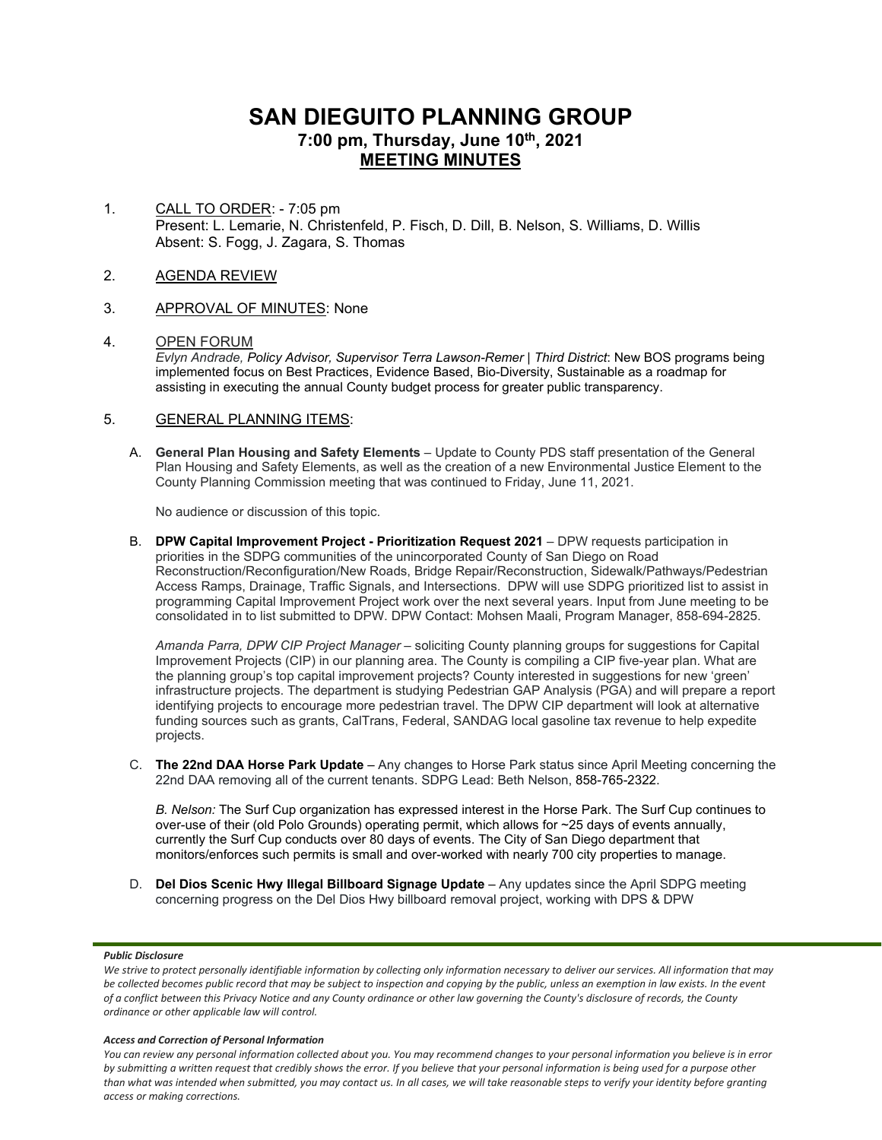# **SAN DIEGUITO PLANNING GROUP 7:00 pm, Thursday, June 10th, 2021 MEETING MINUTES**

1. CALL TO ORDER: - 7:05 pm Present: L. Lemarie, N. Christenfeld, P. Fisch, D. Dill, B. Nelson, S. Williams, D. Willis Absent: S. Fogg, J. Zagara, S. Thomas

# 2. AGENDA REVIEW

3. APPROVAL OF MINUTES: None

# 4. OPEN FORUM

*Evlyn Andrade, Policy Advisor, Supervisor Terra Lawson-Remer | Third District*: New BOS programs being implemented focus on Best Practices, Evidence Based, Bio-Diversity, Sustainable as a roadmap for assisting in executing the annual County budget process for greater public transparency.

# 5. GENERAL PLANNING ITEMS:

A. **General Plan Housing and Safety Elements** – Update to County PDS staff presentation of the General Plan Housing and Safety Elements, as well as the creation of a new Environmental Justice Element to the County Planning Commission meeting that was continued to Friday, June 11, 2021.

No audience or discussion of this topic.

B. **DPW Capital Improvement Project - Prioritization Request 2021** – DPW requests participation in priorities in the SDPG communities of the unincorporated County of San Diego on Road Reconstruction/Reconfiguration/New Roads, Bridge Repair/Reconstruction, Sidewalk/Pathways/Pedestrian Access Ramps, Drainage, Traffic Signals, and Intersections. DPW will use SDPG prioritized list to assist in programming Capital Improvement Project work over the next several years. Input from June meeting to be consolidated in to list submitted to DPW. DPW Contact: Mohsen Maali, Program Manager, 858-694-2825.

*Amanda Parra, DPW CIP Project Manager* – soliciting County planning groups for suggestions for Capital Improvement Projects (CIP) in our planning area. The County is compiling a CIP five-year plan. What are the planning group's top capital improvement projects? County interested in suggestions for new 'green' infrastructure projects. The department is studying Pedestrian GAP Analysis (PGA) and will prepare a report identifying projects to encourage more pedestrian travel. The DPW CIP department will look at alternative funding sources such as grants, CalTrans, Federal, SANDAG local gasoline tax revenue to help expedite projects.

C. **The 22nd DAA Horse Park Update** – Any changes to Horse Park status since April Meeting concerning the 22nd DAA removing all of the current tenants. SDPG Lead: Beth Nelson, 858-765-2322.

*B. Nelson:* The Surf Cup organization has expressed interest in the Horse Park. The Surf Cup continues to over-use of their (old Polo Grounds) operating permit, which allows for ~25 days of events annually, currently the Surf Cup conducts over 80 days of events. The City of San Diego department that monitors/enforces such permits is small and over-worked with nearly 700 city properties to manage.

D. **Del Dios Scenic Hwy Illegal Billboard Signage Update** – Any updates since the April SDPG meeting concerning progress on the Del Dios Hwy billboard removal project, working with DPS & DPW

### *Public Disclosure*

#### *Access and Correction of Personal Information*

*You can review any personal information collected about you. You may recommend changes to your personal information you believe is in error by submitting a written request that credibly shows the error. If you believe that your personal information is being used for a purpose other than what was intended when submitted, you may contact us. In all cases, we will take reasonable steps to verify your identity before granting access or making corrections.*

*We strive to protect personally identifiable information by collecting only information necessary to deliver our services. All information that may be collected becomes public record that may be subject to inspection and copying by the public, unless an exemption in law exists. In the event of a conflict between this Privacy Notice and any County ordinance or other law governing the County's disclosure of records, the County ordinance or other applicable law will control.*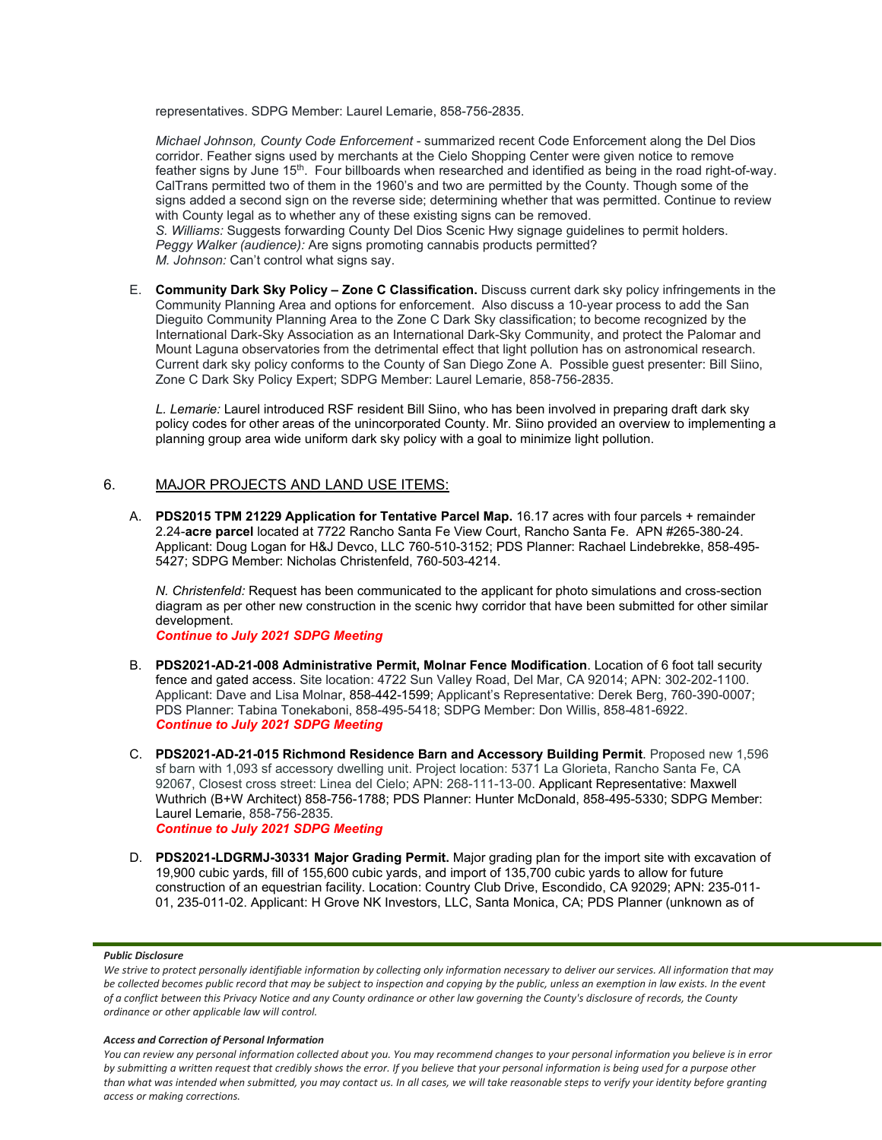representatives. SDPG Member: Laurel Lemarie, 858-756-2835.

*Michael Johnson, County Code Enforcement* - summarized recent Code Enforcement along the Del Dios corridor. Feather signs used by merchants at the Cielo Shopping Center were given notice to remove feather signs by June  $15<sup>th</sup>$ . Four billboards when researched and identified as being in the road right-of-way. CalTrans permitted two of them in the 1960's and two are permitted by the County. Though some of the signs added a second sign on the reverse side; determining whether that was permitted. Continue to review with County legal as to whether any of these existing signs can be removed. *S. Williams:* Suggests forwarding County Del Dios Scenic Hwy signage guidelines to permit holders. *Peggy Walker (audience):* Are signs promoting cannabis products permitted? *M. Johnson:* Can't control what signs say.

E. **Community Dark Sky Policy – Zone C Classification.** Discuss current dark sky policy infringements in the Community Planning Area and options for enforcement. Also discuss a 10-year process to add the San Dieguito Community Planning Area to the Zone C Dark Sky classification; to become recognized by the International Dark-Sky Association as an International Dark-Sky Community, and protect the Palomar and Mount Laguna observatories from the detrimental effect that light pollution has on astronomical research. Current dark sky policy conforms to the County of San Diego Zone A. Possible guest presenter: Bill Siino, Zone C Dark Sky Policy Expert; SDPG Member: Laurel Lemarie, 858-756-2835.

*L. Lemarie:* Laurel introduced RSF resident Bill Siino, who has been involved in preparing draft dark sky policy codes for other areas of the unincorporated County. Mr. Siino provided an overview to implementing a planning group area wide uniform dark sky policy with a goal to minimize light pollution.

# 6. MAJOR PROJECTS AND LAND USE ITEMS:

A. **PDS2015 TPM 21229 Application for Tentative Parcel Map.** 16.17 acres with four parcels + remainder 2.24-**acre parcel** located at 7722 Rancho Santa Fe View Court, Rancho Santa Fe. APN #265-380-24. Applicant: Doug Logan for H&J Devco, LLC 760-510-3152; PDS Planner: Rachael Lindebrekke, 858-495- 5427; SDPG Member: Nicholas Christenfeld, 760-503-4214.

*N. Christenfeld:* Request has been communicated to the applicant for photo simulations and cross-section diagram as per other new construction in the scenic hwy corridor that have been submitted for other similar development.

*Continue to July 2021 SDPG Meeting*

- B. **PDS2021-AD-21-008 Administrative Permit, Molnar Fence Modification**. Location of 6 foot tall security fence and gated access. Site location: 4722 Sun Valley Road, Del Mar, CA 92014; APN: 302-202-1100. Applicant: Dave and Lisa Molnar, 858-442-1599; Applicant's Representative: Derek Berg, 760-390-0007; PDS Planner: Tabina Tonekaboni, 858-495-5418; SDPG Member: Don Willis, 858-481-6922. *Continue to July 2021 SDPG Meeting*
- C. **PDS2021-AD-21-015 Richmond Residence Barn and Accessory Building Permit**. Proposed new 1,596 sf barn with 1,093 sf accessory dwelling unit. Project location: 5371 La Glorieta, Rancho Santa Fe, CA 92067, Closest cross street: Linea del Cielo; APN: 268-111-13-00. Applicant Representative: Maxwell Wuthrich (B+W Architect) 858-756-1788; PDS Planner: Hunter McDonald, 858-495-5330; SDPG Member: Laurel Lemarie, 858-756-2835. *Continue to July 2021 SDPG Meeting*
- D. **PDS2021-LDGRMJ-30331 Major Grading Permit.** Major grading plan for the import site with excavation of 19,900 cubic yards, fill of 155,600 cubic yards, and import of 135,700 cubic yards to allow for future construction of an equestrian facility. Location: Country Club Drive, Escondido, CA 92029; APN: 235-011- 01, 235-011-02. Applicant: H Grove NK Investors, LLC, Santa Monica, CA; PDS Planner (unknown as of

#### *Public Disclosure*

#### *Access and Correction of Personal Information*

*You can review any personal information collected about you. You may recommend changes to your personal information you believe is in error by submitting a written request that credibly shows the error. If you believe that your personal information is being used for a purpose other than what was intended when submitted, you may contact us. In all cases, we will take reasonable steps to verify your identity before granting access or making corrections.*

We strive to protect personally identifiable information by collecting only information necessary to deliver our services. All information that may *be collected becomes public record that may be subject to inspection and copying by the public, unless an exemption in law exists. In the event of a conflict between this Privacy Notice and any County ordinance or other law governing the County's disclosure of records, the County ordinance or other applicable law will control.*